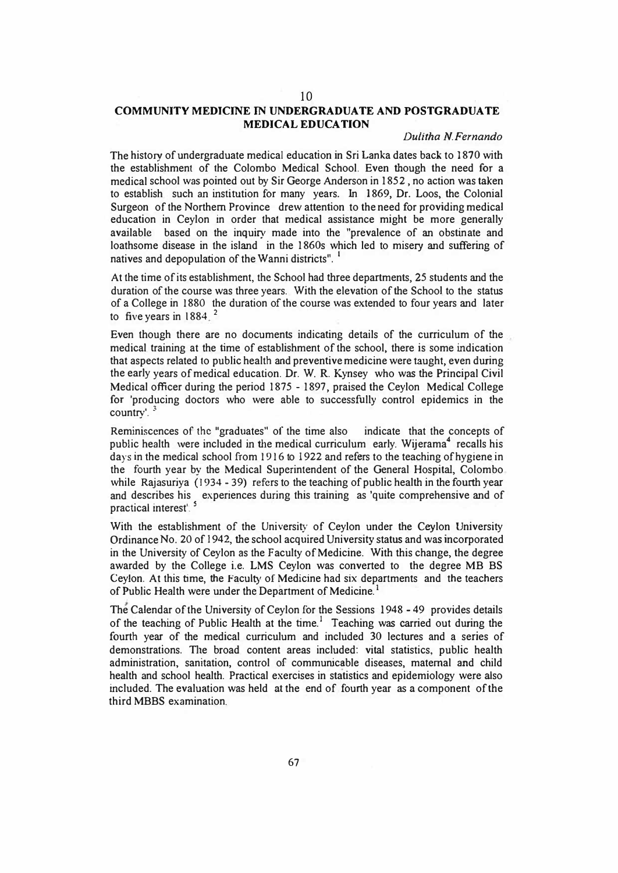# 10

## **COMMUNITY MEDICINE IN UNDERGRADUATE AND POSTGRADUATE MEDICAL EDUCATION**

## *Dulitha N.Fernando*

The history of undergraduate medical education in Sri Lanka dates back to 1870 with the establishment of the Colombo Medical School. Even though the need **for** a medical school was pointed out by Sir George Anderson in 1852, no action was taken to establish such an institution for many years. In 1869, Dr. Loos, the Colonial Surgeon of the Northern Province drew attention to the need for providing medical education in Ceylon in order that medical assistance might be more generally available based on the inquiry made into the "prevalence of an obstinate and loathsome disease in the island in the 1860s which led to misery and suffering of natives and depopulation of the Wanni districts".<sup>1</sup>

At the time of its establishment, the School had three departments, 25 students and the duration of the course was three years. With the elevation of the School to the status of a College in 1880 the duration of the course was extended to four years and later to five years in  $1884<sup>2</sup>$ 

Even though there are no documents indicating details of the curriculum of the medical training at the time of establishment of the school, there is some indication that aspects related to public health and preventive medicine were taught, even during the early years of medical education. Dr. W. R. Kynsey who was the Principal Civil Medical officer during the period 1875 - 1897, praised the Ceylon Medical College **for** 'producing doctors who were able to successfully control epidemics in the country'. *3* 

Reminiscences of the "graduates" of the time also indicate that the concepts of public health were included in the medical curriculum early. Wijerama<sup>4</sup> recalls his days in the medical school from 1916 to 1922 and refers to the teaching of hygiene in the fourth year by the Medical Superintendent of the General Hospital, Colombo while Rajasuriya (1934 - 39) refers to the teaching of public health in the fourth year and describes his experiences during this training as 'quite comprehensive and of practical interest<sup>'</sup>.

With the establishment of the University of Ceylon under the Ceylon University Ordinance No. 20 of 1942, the school acquired University status and was incorporated in the University of Ceylon as the Faculty of Medicine. With this change, the degree awarded by the College i.e. LMS Ceylon was converted to the degree MB BS Ceylon. At this time, the Faculty of Medicine had six departments and the teachers of Public Health were under the Department of Medicine.<sup>1</sup>

The Calendar of the University of Ceylon for the Sessions I 948 - 49 provides details of the teaching of Public Health at the time.<sup>1</sup> Teaching was carried out during the fourth year of the medical curriculum and included 30 lectures and a series of demonstrations. The broad content areas included: vital statistics, public health administration, sanitation, control of communicable diseases, maternal and child health and school health. Practical exercises in statistics and epidemiology were also included. The evaluation was held **at** the end of fourth year as **a** component of the third MBBS examination.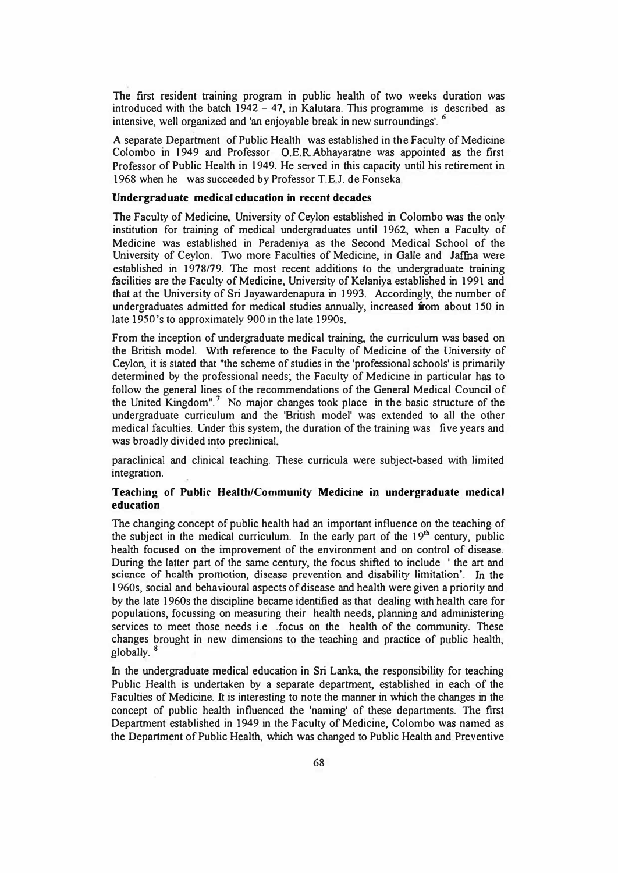The first resident training program in public health of two weeks duration was introduced with the batch  $1942 - 47$ , in Kalutara. This programme is described as intensive, well organized and 'an enjoyable break in new surroundings'. <sup>6</sup>

A separate Department of Public Health was established in the Faculty of Medicine Colombo in 1949 and Professor O.E.R.Abhayaratne was appointed as the first Professor of Public Health in 1949. He served in this capacity until his retirement in 1968 when he was succeeded by Professor T.E.J. de Fonseka.

## **Undergraduate medical education in recent decades**

The Faculty of Medicine, University of Ceylon established in Colombo was the only institution for training of medical undergraduates until 1962, when a Faculty of Medicine was established in Peradeniya as the Second Medical School of the University of Ceylon. Two more Faculties of Medicine, in Galle and Jaffna were established in 1978/79. The most recent additions to the undergraduate training facilities are the Faculty of Medicine, University of Kelaniya established in 1991 and that at the University of Sri Jayawardenapura in 1993. Accordingly, the number of undergraduates admitted for medical studies annually, increased from about 150 in late 1950's to approximately 900 in the late 1990s.

From the inception of undergraduate medical training, the curriculum was based on the British model. With reference to the Faculty of Medicine of the University of Ceylon, it is stated that "the scheme of studies in the 'professional schools' is primarily determined by the professional needs; the Faculty of Medicine in particular has to follow the general lines of the recommendations of the General Medical Council of the United Kingdom".<sup>7</sup> No major changes took place in the basic structure of the undergraduate curriculum and the 'British model' was extended to all the other medical faculties. Under this system, the duration of the training was five years and was broadly divided into preclinical,

paraclinical and clinical teaching. These curricula were subject-based with limited integration.

## **Teaching of Public Health/Community Medicine** in **undergraduate medical education**

The changing concept of public health had an important influence on the teaching of the subject in the medical curriculum. In the early part of the  $19<sup>th</sup>$  century, public health focused on the improvement of the environment and on control of disease. During the latter part of the same century, the focus shifted to include ' the art and science of health promotion, disease prevention and disability limitation'. In the l 960s, social and behavioural aspects of disease and health were given a priority and by the late 1960s the discipline became identified as that dealing with health care for populations, focussing on measuring their health needs, planning and administering services to meet those needs i.e .. focus on the health of the community. These changes brought in new dimensions to the teaching and practice of public health, globally.

In the undergraduate medical education in Sri Lanka, the responsibility for teaching Public Health is undertaken by a separate department, established in each of the Faculties of Medicine. It is interesting to note the manner in which the changes in the concept of public health influenced the 'naming' of these departments. The first Department established in 1949 in the Faculty of Medicine, Colombo was named as the Department of Public Health, which was changed to Public Health and Preventive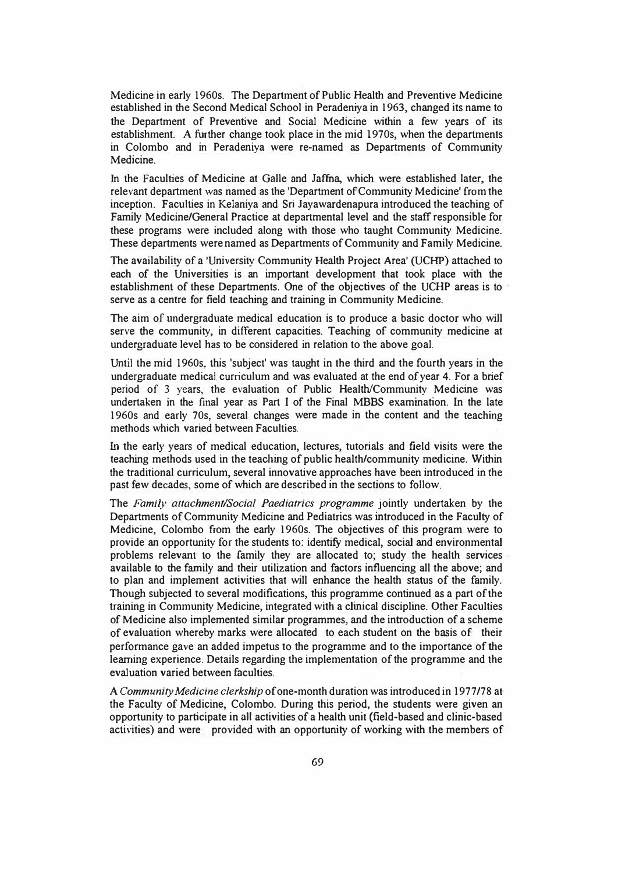Medicine in early 1960s. The Department of Public Health and Preventive Medicine established in the Second Medical School in Peradeniya in 1963, changed its name to the Department of Preventive and Social Medicine within a few years of its establishment. A further change took place in the mid 1970s, when the departments in Colombo and in Peradeniya were re-named as Departments of Community Medicine.

In the Faculties of Medicine at Galle and Jaffna, which were established later, the relevant department was named as the 'Department of Community Medicine' from the inception. Faculties in Kelaniya and Sri Jayawardenapura introduced the teaching of Family Medicine/General Practice at departmental level and the staff responsible for these programs were included along with those who taught Community Medicine. These departments were named as Departments of Community and Family Medicine.

The availability of a 'University Community Health Project Area' (UCHP) attached to each of the Universities is an important development that took place with the establishment of these Departments. One of the objectives of the UCHP areas is to serve as a centre for field teaching and training in Community Medicine.

The aim of undergraduate medical education is to produce a basic doctor who will serve the community, in different capacities. Teaching of community medicine at undergraduate level has to be considered in relation to the above goal.

Until the mid 1960s, this 'subject' was taught in the third and the fourth years in the undergraduate medical curriculum and was evaluated at the end of year 4. For a brief period of 3 years, the evaluation of Public Health/Community Medicine was undertaken in the final year as Part I of the Final MBBS examination. In the late 1960s and early 70s, several changes were made in the content and the teaching methods which varied between Faculties.

In the early years of medical education, lectures, tutorials and field visits were the teaching methods used in the teaching of public health/community medicine. Within the traditional curriculum, several innovative approaches have been introduced in the past few decades, some of which are described in the sections to follow.

The *Family attachment/Social Paediatrics programme* jointly undertaken by the Departments of Community Medicine and Pediatrics was introduced in the Faculty of Medicine, Colombo from the early 1960s. The objectives of this program were to provide an opportunity for the students to: identify medical, social and environmental problems relevant to the family they are allocated to; study the health services available to the family and their utilization and factors influencing all the above; and to plan and implement activities that will enhance the health status of the family. Though subjected to several modifications, this programme continued as a part of the training in Community Medicine, integrated with a clinical discipline. Other Faculties of Medicine also implemented similar programmes, and the introduction of a scheme of evaluation whereby marks were allocated to each student on the basis of their performance gave an added impetus to the programme and to the importance of the learning experience. Details regarding the implementation of the programme and the evaluation varied between faculties.

A *Community Medicine clerkship* of one-month duration was introduced in 1977 /78 at the Faculty of Medicine, Colombo. During this period, the students were given an opportunity to participate in all activities of a health unit (field-based and clinic-based activities) and were provided with an opportunity of working with the members of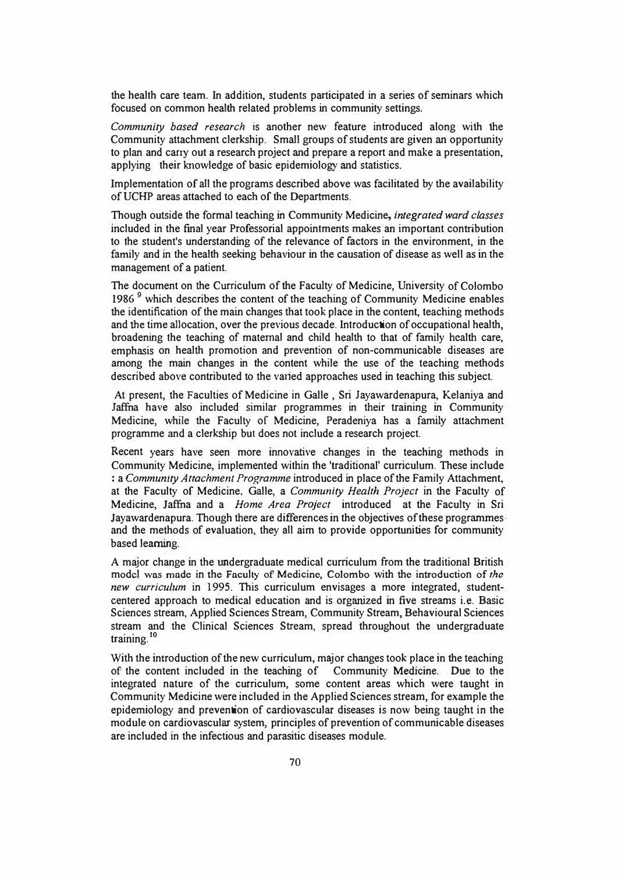the health care team. In addition, students participated in a series of seminars which focused on common health related problems in community settings.

*Community based research* is another new feature introduced along with the Community attachment clerkship. Small groups of students are given an opportunity to plan and carry out a research project and prepare a report and make a presentation, applying their knowledge of basic epidemiology and statistics.

Implementation of all the programs described above was facilitated by the availability ofUCHP areas attached to each of the Departments.

Though outside the formal teaching in Community Medicine, *integrated ward classes*  included in the final year Professorial appointments makes an important contribution to the student's understanding of the relevance of factors in the environment, in the family and in the health seeking behaviour in the causation of disease as well as in the management of a patient.

The document on the Curriculum of the Faculty of Medicine, University of Colombo **1986** 9 which describes the content of the teaching of Community Medicine enables the identification of the main changes that took place in the content, teaching methods and **the** time allocation, over the previous decade. Introduction of occupational health, broadening the teaching of maternal and child health to that of family health care, emphasis on health promotion and prevention of non-communicable diseases are among the main changes in the content while the use of the teaching methods described above contributed to the varied approaches used in teaching this subject.

At present, the Faculties of Medicine in Galle , Sri Jayawardenapura, Kelaniya and Jaffna have also included similar programmes in their training in Community Medicine, while the Faculty of Medicine, Peradeniya has a family attachment programme and a clerkship but does not include a research project.

Recent years have seen more innovative changes in the teaching methods in Community Medicine, implemented within the 'traditional' curriculum. These include : a *Community Attachment Programme* introduced in place of the Family Attachment, at the Faculty of Medicine, Galle, a *Community Health Project* in the Faculty of Medicine, Jaffna and a *Home Area Project* introduced at the Faculty in Sri Jayawardenapura. Though there are differences in the objectives of these programmes· and the methods of evaluation, they all aim to provide opportunities for community based learning.

A major change in the undergraduate medical curriculum from the traditional British model wns made in the Faculty of Medicine, Colombo with the introduction of *the new curriculum* in 1995. This curriculum envisages a more integrated, studentcentered approach to medical education and is organized in five streams i.e. Basic Sciences stream, Applied Sciences Stream, Community Stream, Behavioural Sciences stream and the Clinical Sciences Stream, spread throughout the undergraduate training. ' **0** 

With the introduction of the new curriculum, major changes took place in the teaching of the content included in the teaching of Community Medicine. Due to the of the content included in the teaching of integrated nature of the curriculum, some content areas which were taught in Community Medicine were included in the Applied Sciences stream, for example the epidemiology and prevention of cardiovascular diseases is now being taught in the module on cardiovascular system, principles of prevention of communicable diseases are included in the infectious and parasitic diseases module.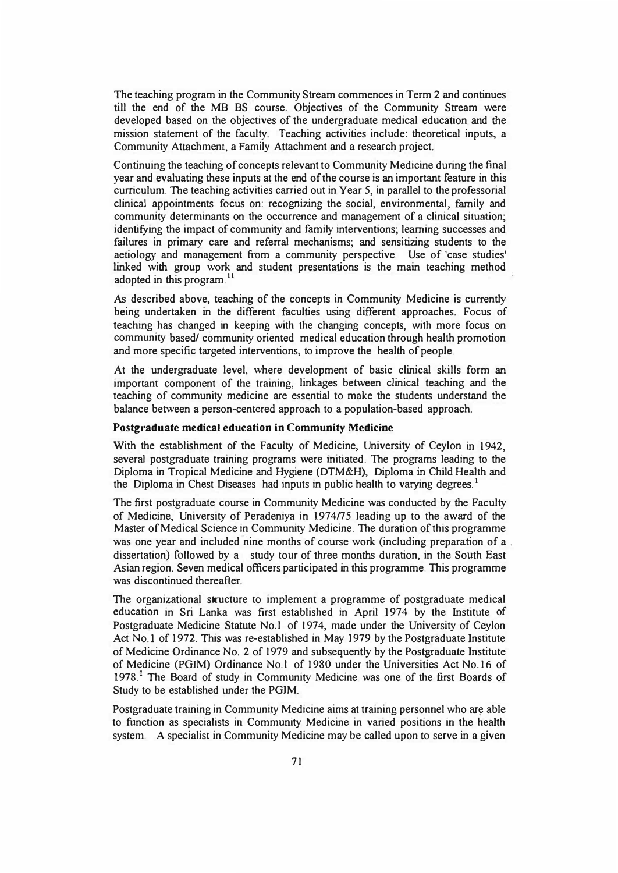The teaching program in the Community Stream commences in Term 2 and continues till the end of the MB BS course. Objectives of the Community Stream were developed based on the objectives of the undergraduate medical education and the mission statement of the faculty. Teaching activities include: theoretical inputs, a Community Attachment, a Family Attachment and a research project.

Continuing the teaching of concepts relevant to Community Medicine during the final year and evaluating these inputs at the end of the course is an important feature in this curriculum. The teaching activities carried out in Year 5, in parallel to the professorial clinical appointments focus on: recognizing the social, environmental, family and community determinants on the occurrence and management of a clinical situation; identifying the impact of community and family interventions; learning successes and failures in primary care and referral mechanisms; and sensitizing students to the aetiology and management from a community perspective. Use of 'case studies' linked with group work and student presentations is the main teaching method adopted in this program.<sup>11</sup>

As described above, teaching of the concepts in Community Medicine is currently being undertaken in the different faculties using different approaches. Focus of teaching has changed in keeping with the changing concepts, with more focus on community based/ community oriented medical education through health promotion and more specific targeted interventions, to improve the health of people.

At the undergraduate level, where development of basic clinical skills form an important component of the training, linkages between clinical teaching and the teaching of community medicine are essential to make the students understand the balance between a person-centered approach to a population-based approach.

## **Postgraduate medical education in Community Medicine**

With the establishment of the Faculty of Medicine, University of Ceylon in 1942, several postgraduate training programs were initiated. The programs leading to the Diploma in Tropical Medicine and Hygiene (DTM&H), Diploma in Child Health and the Diploma in Chest Diseases had inputs in public health to varying degrees. **<sup>1</sup>**

The first postgraduate course in Community Medicine was conducted by the Faculty of Medicine, University of Peradeniya in 1974/75 leading up to the award of the Master of Medical Science in Community Medicine. The duration of this programme was one year and included nine months of course work (including preparation of a . dissertation) followed by a study tour of three months duration, in the South East Asian region. Seven medical officers participated in this programme. This programme was discontinued thereafter.

The organizational structure to implement a programme of postgraduate medical education in Sri Lanka was first established in April 1974 by the Institute of Postgraduate Medicine Statute No. l of 1974, made under the University of Ceylon Act No. I of 1972. This was re-established in May 1979 by the Postgraduate Institute of Medicine Ordinance No. 2 of 1979 and subsequently by the Postgraduate Institute of Medicine (PGIM) Ordinance No. l of 1980 under the Universities Act No.16 of 1978.<sup>1</sup> The Board of study in Community Medicine was one of the first Boards of Study to be established under the PGIM.

Postgraduate training in Community Medicine aims at training personnel who are able to function as specialists in Community Medicine in varied positions in the health system. A specialist in Community Medicine may be called upon to serve in a given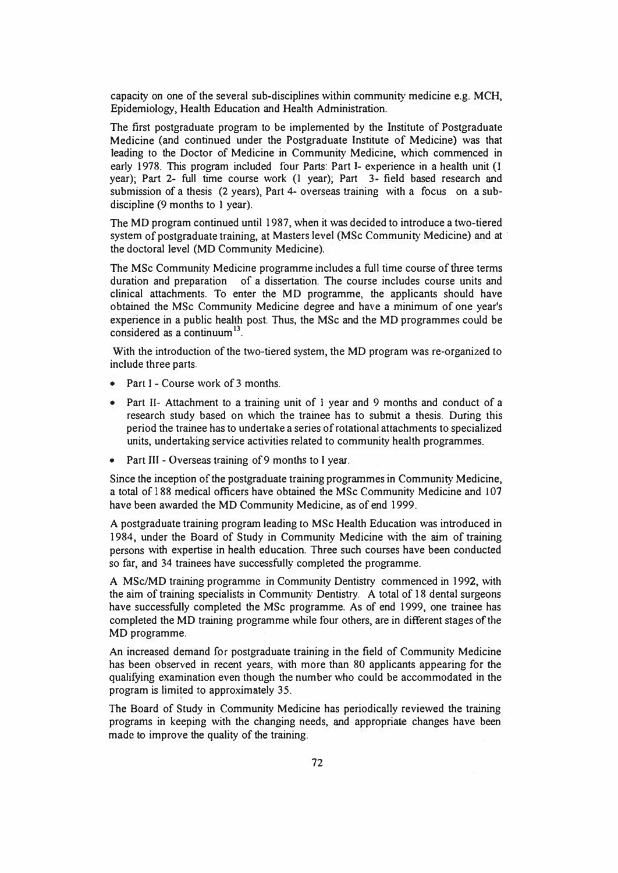capacity on one of the several sub-disciplines within community medicine e.g. MCH, Epidemiology, Health Education and Health Administration.

The first postgraduate program to be implemented by the Institute of Postgraduate Medicine (and continued under the Postgraduate Institute of Medicine) was that leading to the Doctor of Medicine in Community Medicine, which commenced in early 1978. This program included four Parts: Part I- experience in a health unit (l year); Part 2- full time course work (I year); Part 3- field based research and submission of a thesis (2 years), Part 4- overseas training with a focus on a subdiscipline (9 months to I year).

The MD program continued until 1987, when it was decided to introduce a two-tiered system of postgraduate training, at Masters level (MSc Community Medicine) and at· the doctoral level (MD Community Medicine).

The MSc Community Medicine programme includes a full time course of three terms duration and preparation of a dissertation. The course includes course units and clinical attachments. To enter the MD programme, the applicants should have obtained the MSc Community Medicine degree and have a minimum of one year's experience in a public health post. Thus, the MSc and the MD programmes could be considered as a continuum<sup>13</sup>.

With the introduction of the two-tiered system, the MD program was re-organized to include three parts.

- Part I Course work of 3 months.
- Part II- Attachment to a training unit of I year and 9 months and conduct of a research study based on which the trainee has to submit a thesis. During this period the trainee has to undertake a series of rotational attachments to specialized units, undertaking service activities related to community health programmes.
- Part III Overseas training of 9 months to I year.

Since the inception of the postgraduate training programmes in Community Medicine, a total of 188 medical officers have obtained the MSc Community Medicine and I 07 have been awarded the MD Community Medicine, as of end 1999.

A postgraduate training program leading to MSc Health Education was introduced in 1984, under the Board of Study in Community Medicine with the aim of training persons with expertise in health education. Three such courses have been conducted so far, and 34 trainees have successfully completed the programme.

A MSc/MD training programme in Community Dentistry commenced in 1992, with the aim of training specialists in Community Dentistry. A total of 18 dental surgeons have successfully completed the MSc programme. As of end 1999, one trainee has completed the MD training programme while four others, are in different stages of the MD programme.

An increased demand for postgraduate training in the field of Community Medicine has been observed in recent years, with more than 80 applicants appearing for the qualifying examination even though the number who could be accommodated in the program is limited to approximately 35.

The Board of Study in Community Medicine has periodically reviewed the training programs in keeping with the changing needs, and appropriate changes have been made to improve the quality of the training.